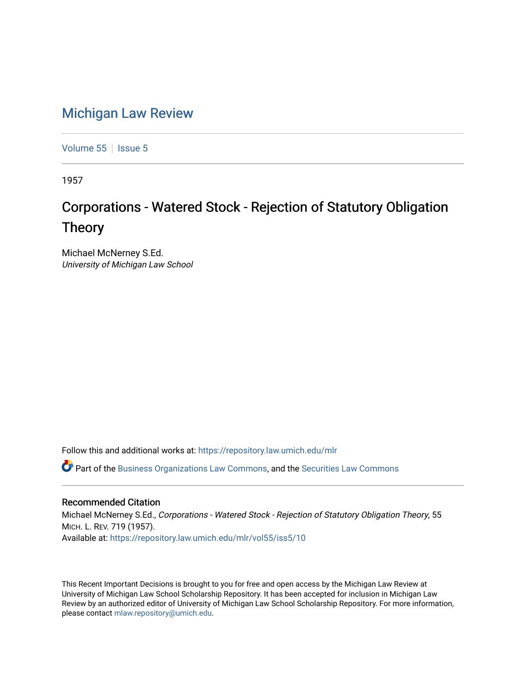## [Michigan Law Review](https://repository.law.umich.edu/mlr)

[Volume 55](https://repository.law.umich.edu/mlr/vol55) | [Issue 5](https://repository.law.umich.edu/mlr/vol55/iss5)

1957

## Corporations - Watered Stock - Rejection of Statutory Obligation Theory

Michael McNerney S.Ed. University of Michigan Law School

Follow this and additional works at: [https://repository.law.umich.edu/mlr](https://repository.law.umich.edu/mlr?utm_source=repository.law.umich.edu%2Fmlr%2Fvol55%2Fiss5%2F10&utm_medium=PDF&utm_campaign=PDFCoverPages) 

 $\bullet$  Part of the [Business Organizations Law Commons](http://network.bepress.com/hgg/discipline/900?utm_source=repository.law.umich.edu%2Fmlr%2Fvol55%2Fiss5%2F10&utm_medium=PDF&utm_campaign=PDFCoverPages), and the Securities Law Commons

## Recommended Citation

Michael McNerney S.Ed., Corporations - Watered Stock - Rejection of Statutory Obligation Theory, 55 MICH. L. REV. 719 (1957). Available at: [https://repository.law.umich.edu/mlr/vol55/iss5/10](https://repository.law.umich.edu/mlr/vol55/iss5/10?utm_source=repository.law.umich.edu%2Fmlr%2Fvol55%2Fiss5%2F10&utm_medium=PDF&utm_campaign=PDFCoverPages) 

This Recent Important Decisions is brought to you for free and open access by the Michigan Law Review at University of Michigan Law School Scholarship Repository. It has been accepted for inclusion in Michigan Law Review by an authorized editor of University of Michigan Law School Scholarship Repository. For more information, please contact [mlaw.repository@umich.edu.](mailto:mlaw.repository@umich.edu)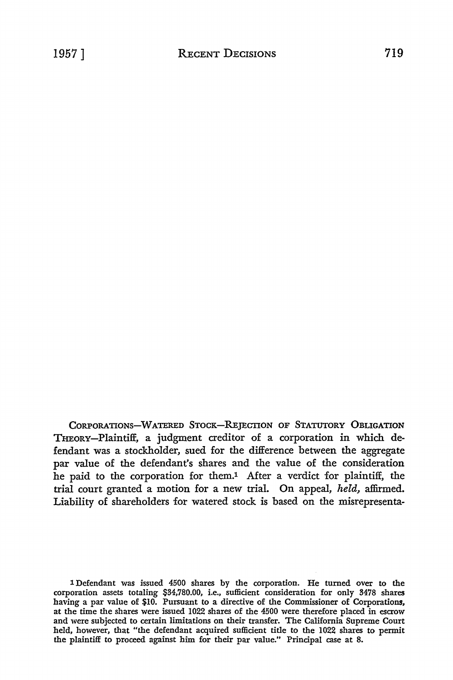CORPORATIONS-WATERED STOCK-REJECTION OF STATUTORY OBLIGATION THEORY-Plaintiff, a judgment creditor of a corporation in which defendant was a stockholder, sued for the difference between the aggregate par value of the defendant's shares and the value of the consideration he paid to the corporation for them.1 After a verdict for plaintiff, the trial court granted a motion for a new trial. On appeal, *held,* affirmed. Liability of shareholders for watered stock is based on the misrepresenta-

1 Defendant was issued 4500 shares by the corporation. He turned over to the corporation assets totaling \$34,780.00, i.e., sufficient consideration for only 3478 shares having a par value of \$10. Pursuant to a directive of the Commissioner of Corporations, at the time the shares were issued 1022 shares of the 4500 were therefore placed in escrow and were subjected to certain limitations on their transfer. The California Supreme Court held, however, that "the defendant acquired sufficient title to the 1022 shares to permit the plaintiff to proceed against him for their par value." Principal case at 8.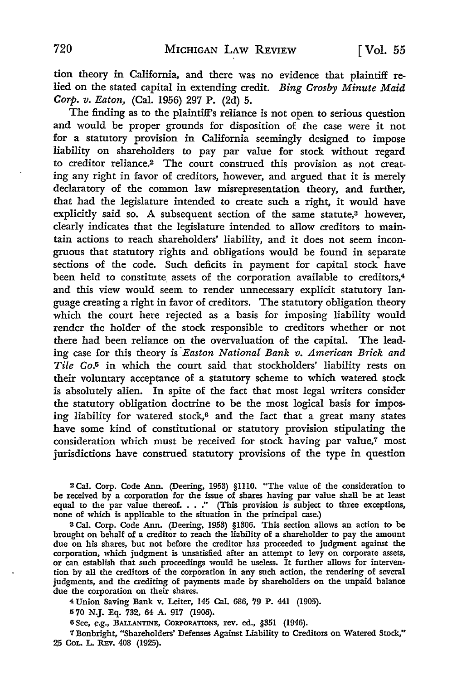tion theory in California, and there was no evidence that plaintiff relied on the stated capital in extending credit. *Bing Crosby Minute Maid Corp. v. Eaton,* (Cal. 1956) 297 P. (2d) 5.

The finding as to the plaintiff's reliance is not open to serious question and would be proper grounds for disposition of the case were it not for a statutory provision in California seemingly designed to impose liability on shareholders to pay par value for stock without regard to creditor reliance.2 The court construed this provision as not creating any right in favor of creditors, however, and argued that it is merely declaratory of the common law misrepresentation theory, and further, that had the legislature intended to create such a right, it would have explicitly said so. A subsequent section of the same statute,<sup>3</sup> however, clearly indicates that the legislature intended to allow creditors to maintain actions to reach shareholders' liability, and it does not seem incongruous that statutory rights and obligations would be found in separate sections of the code. Such deficits in payment for capital stock have been held to constitute assets of the corporation available to creditors,<sup>4</sup> and this view would seem to render unnecessary explicit statutory language creating a right in favor of creditors. The statutory obligation theory which the court here rejected as a basis for imposing liability would render the holder of the stock responsible to creditors whether or not there had been reliance on the overvaluation of the capital. The leading case for this theory is *Easton National Bank v. American Brick and Tile* Co.5 in which the court said that stockholders' liability rests on their voluntary acceptance of a statutory scheme to which watered stock is absolutely alien. In spite of the fact that most legal writers consider the statutory obligation doctrine to be the most logical basis for imposing liability for watered *stock,6* and the fact that a great many states have some kind of constitutional or statutory provision stipulating the consideration which must be received for stock having par value,7 most jurisdictions have construed statutory provisions of the type in question

<sup>2</sup>Cal. Corp. Code Ann. (Deering, 1953) §1110. "The value of the consideration to be received by a corporation for the issue of shares having par value shall be at least equal to the par value thereof.  $\ldots$ ." (This provision is subject to three exceptions, none of which is applicable to the situation in the principal case.)

3 Cal. Corp. Code Ann. (Deering, 1953) §1306. This section allows an action to be brought on behalf of a creditor to reach the liability of a shareholder to pay the amount due on his shares, but not before the creditor has proceeded to judgment against the corporation, which judgment is unsatisfied after an attempt to levy on corporate assets, or can establish that such proceedings would be useless. It further allows for intervention by all the creditors of the corporation in any such action, the rendering of several judgments, and the crediting of payments made by shareholders on the unpaid balance due the corporation on their shares.

4 Union Saving Bank v. Leiter, 145 Cal. 686, 79 P. 441 (1905).

<sup>5</sup>70 N.J. Eq. 732, 64 A. 917 (1906).

6 See, e.g., BALLANTINE, CORPORATIONS, rev. ed., §351 (1946).

7 Bonbright, "Shareholders' Defenses Against Liability to Creditors on Watered Stock," 25 CoL. L. REv. 408 (1925).